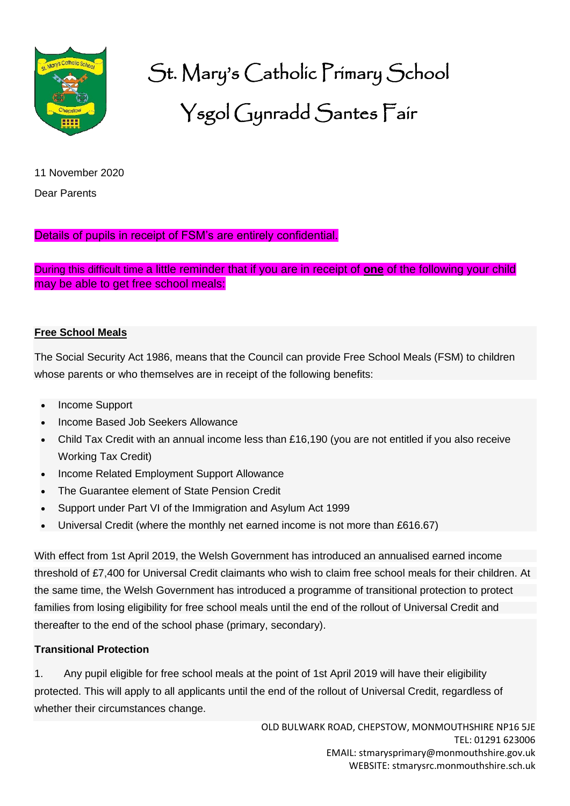

# St. Mary's Catholic Primary School Ysgol Gynradd Santes Fair

11 November 2020

Dear Parents

Details of pupils in receipt of FSM's are entirely confidential.

During this difficult time a little reminder that if you are in receipt of **one** of the following your child may be able to get free school meals:

#### **Free School Meals**

The Social Security Act 1986, means that the Council can provide Free School Meals (FSM) to children whose parents or who themselves are in receipt of the following benefits:

- Income Support
- Income Based Job Seekers Allowance
- Child Tax Credit with an annual income less than £16,190 (you are not entitled if you also receive Working Tax Credit)
- Income Related Employment Support Allowance
- The Guarantee element of State Pension Credit
- Support under Part VI of the Immigration and Asylum Act 1999
- Universal Credit (where the monthly net earned income is not more than £616.67)

With effect from 1st April 2019, the Welsh Government has introduced an annualised earned income threshold of £7,400 for Universal Credit claimants who wish to claim free school meals for their children. At the same time, the Welsh Government has introduced a programme of transitional protection to protect families from losing eligibility for free school meals until the end of the rollout of Universal Credit and thereafter to the end of the school phase (primary, secondary).

#### **Transitional Protection**

1. Any pupil eligible for free school meals at the point of 1st April 2019 will have their eligibility protected. This will apply to all applicants until the end of the rollout of Universal Credit, regardless of whether their circumstances change.

> OLD BULWARK ROAD, CHEPSTOW, MONMOUTHSHIRE NP16 5JE TEL: 01291 623006 EMAIL: [stmarysprimary@monmouthshire.gov.uk](mailto:stmarysprimary@monmouthshire.gov.uk) WEBSITE: stmarysrc.monmouthshire.sch.uk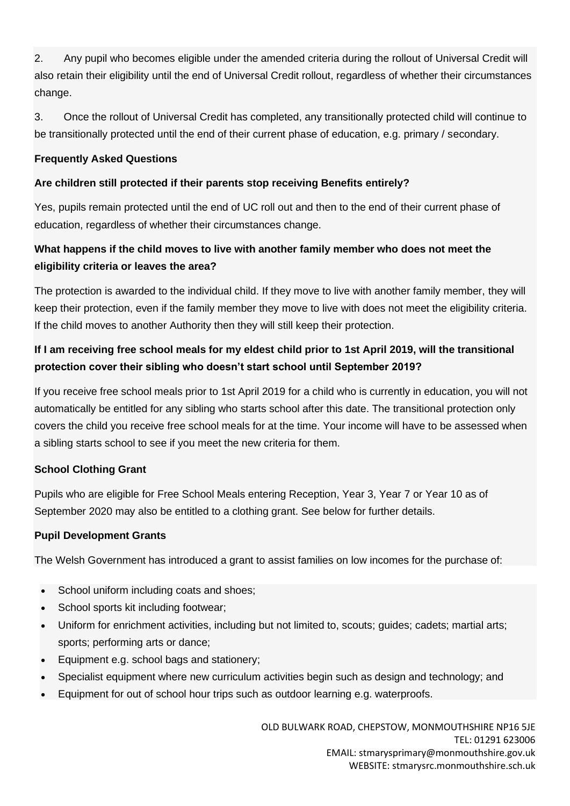2. Any pupil who becomes eligible under the amended criteria during the rollout of Universal Credit will also retain their eligibility until the end of Universal Credit rollout, regardless of whether their circumstances change.

3. Once the rollout of Universal Credit has completed, any transitionally protected child will continue to be transitionally protected until the end of their current phase of education, e.g. primary / secondary.

## **Frequently Asked Questions**

## **Are children still protected if their parents stop receiving Benefits entirely?**

Yes, pupils remain protected until the end of UC roll out and then to the end of their current phase of education, regardless of whether their circumstances change.

# **What happens if the child moves to live with another family member who does not meet the eligibility criteria or leaves the area?**

The protection is awarded to the individual child. If they move to live with another family member, they will keep their protection, even if the family member they move to live with does not meet the eligibility criteria. If the child moves to another Authority then they will still keep their protection.

# **If I am receiving free school meals for my eldest child prior to 1st April 2019, will the transitional protection cover their sibling who doesn't start school until September 2019?**

If you receive free school meals prior to 1st April 2019 for a child who is currently in education, you will not automatically be entitled for any sibling who starts school after this date. The transitional protection only covers the child you receive free school meals for at the time. Your income will have to be assessed when a sibling starts school to see if you meet the new criteria for them.

## **School Clothing Grant**

Pupils who are eligible for Free School Meals entering Reception, Year 3, Year 7 or Year 10 as of September 2020 may also be entitled to a clothing grant. See below for further details.

## **Pupil Development Grants**

The Welsh Government has introduced a grant to assist families on low incomes for the purchase of:

- School uniform including coats and shoes;
- School sports kit including footwear;
- Uniform for enrichment activities, including but not limited to, scouts; guides; cadets; martial arts; sports; performing arts or dance;
- Equipment e.g. school bags and stationery;
- Specialist equipment where new curriculum activities begin such as design and technology; and
- Equipment for out of school hour trips such as outdoor learning e.g. waterproofs.

OLD BULWARK ROAD, CHEPSTOW, MONMOUTHSHIRE NP16 5JE TEL: 01291 623006 EMAIL: [stmarysprimary@monmouthshire.gov.uk](mailto:stmarysprimary@monmouthshire.gov.uk) WEBSITE: stmarysrc.monmouthshire.sch.uk